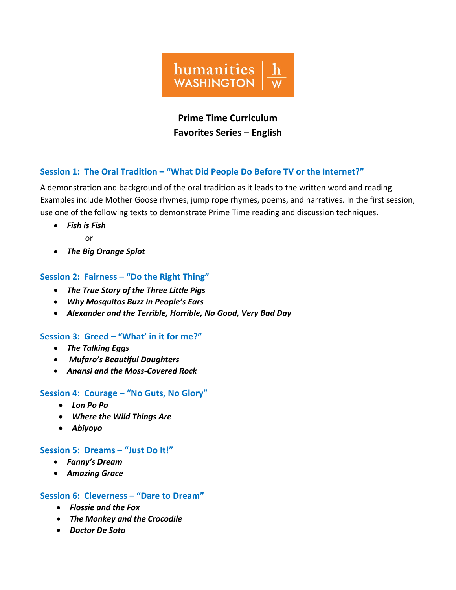

# **Prime Time Curriculum Favorites Series – English**

## **Session 1: The Oral Tradition – "What Did People Do Before TV or the Internet?"**

A demonstration and background of the oral tradition as it leads to the written word and reading. Examples include Mother Goose rhymes, jump rope rhymes, poems, and narratives. In the first session, use one of the following texts to demonstrate Prime Time reading and discussion techniques.

- *Fish is Fish* or
- *The Big Orange Splot*

# **Session 2: Fairness – "Do the Right Thing"**

- *The True Story of the Three Little Pigs*
- *Why Mosquitos Buzz in People's Ears*
- *Alexander and the Terrible, Horrible, No Good, Very Bad Day*

# **Session 3: Greed – "What' in it for me?"**

- *The Talking Eggs*
- *Mufaro's Beautiful Daughters*
- *Anansi and the Moss-Covered Rock*

# **Session 4: Courage – "No Guts, No Glory"**

- *Lon Po Po*
- *Where the Wild Things Are*
- *Abiyoyo*

# **Session 5: Dreams – "Just Do It!"**

- *Fanny's Dream*
- *Amazing Grace*

## **Session 6: Cleverness – "Dare to Dream"**

- *Flossie and the Fox*
- *The Monkey and the Crocodile*
- *Doctor De Soto*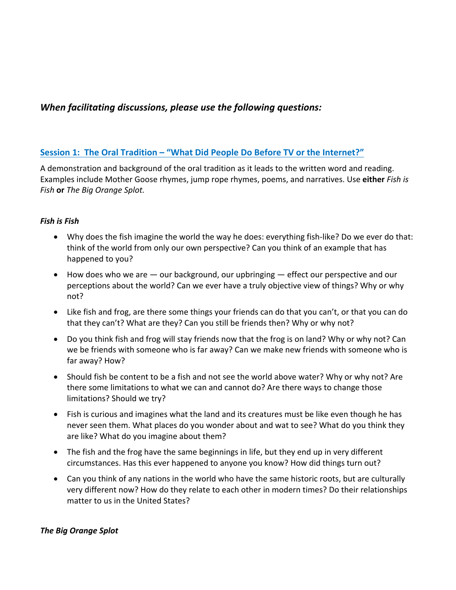# *When facilitating discussions, please use the following questions:*

## **Session 1: The Oral Tradition – "What Did People Do Before TV or the Internet?"**

A demonstration and background of the oral tradition as it leads to the written word and reading. Examples include Mother Goose rhymes, jump rope rhymes, poems, and narratives. Use **either** *Fish is Fish* **or** *The Big Orange Splot.*

## *Fish is Fish*

- Why does the fish imagine the world the way he does: everything fish-like? Do we ever do that: think of the world from only our own perspective? Can you think of an example that has happened to you?
- $\bullet$  How does who we are  $-$  our background, our upbringing  $-$  effect our perspective and our perceptions about the world? Can we ever have a truly objective view of things? Why or why not?
- Like fish and frog, are there some things your friends can do that you can't, or that you can do that they can't? What are they? Can you still be friends then? Why or why not?
- Do you think fish and frog will stay friends now that the frog is on land? Why or why not? Can we be friends with someone who is far away? Can we make new friends with someone who is far away? How?
- Should fish be content to be a fish and not see the world above water? Why or why not? Are there some limitations to what we can and cannot do? Are there ways to change those limitations? Should we try?
- Fish is curious and imagines what the land and its creatures must be like even though he has never seen them. What places do you wonder about and wat to see? What do you think they are like? What do you imagine about them?
- The fish and the frog have the same beginnings in life, but they end up in very different circumstances. Has this ever happened to anyone you know? How did things turn out?
- Can you think of any nations in the world who have the same historic roots, but are culturally very different now? How do they relate to each other in modern times? Do their relationships matter to us in the United States?

## *The Big Orange Splot*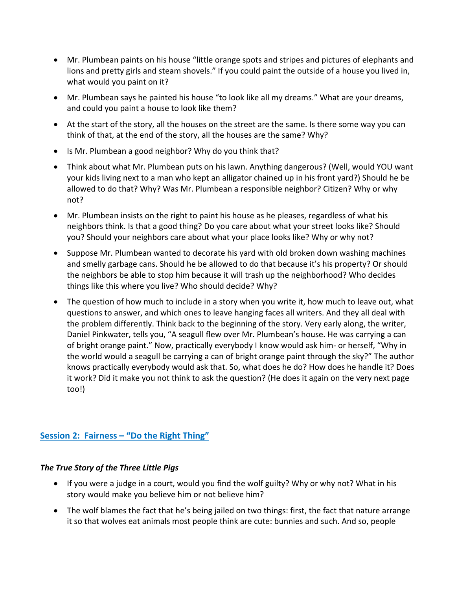- Mr. Plumbean paints on his house "little orange spots and stripes and pictures of elephants and lions and pretty girls and steam shovels." If you could paint the outside of a house you lived in, what would you paint on it?
- Mr. Plumbean says he painted his house "to look like all my dreams." What are your dreams, and could you paint a house to look like them?
- At the start of the story, all the houses on the street are the same. Is there some way you can think of that, at the end of the story, all the houses are the same? Why?
- Is Mr. Plumbean a good neighbor? Why do you think that?
- Think about what Mr. Plumbean puts on his lawn. Anything dangerous? (Well, would YOU want your kids living next to a man who kept an alligator chained up in his front yard?) Should he be allowed to do that? Why? Was Mr. Plumbean a responsible neighbor? Citizen? Why or why not?
- Mr. Plumbean insists on the right to paint his house as he pleases, regardless of what his neighbors think. Is that a good thing? Do you care about what your street looks like? Should you? Should your neighbors care about what your place looks like? Why or why not?
- Suppose Mr. Plumbean wanted to decorate his yard with old broken down washing machines and smelly garbage cans. Should he be allowed to do that because it's his property? Or should the neighbors be able to stop him because it will trash up the neighborhood? Who decides things like this where you live? Who should decide? Why?
- The question of how much to include in a story when you write it, how much to leave out, what questions to answer, and which ones to leave hanging faces all writers. And they all deal with the problem differently. Think back to the beginning of the story. Very early along, the writer, Daniel Pinkwater, tells you, "A seagull flew over Mr. Plumbean's house. He was carrying a can of bright orange paint." Now, practically everybody I know would ask him- or herself, "Why in the world would a seagull be carrying a can of bright orange paint through the sky?" The author knows practically everybody would ask that. So, what does he do? How does he handle it? Does it work? Did it make you not think to ask the question? (He does it again on the very next page too!)

# **Session 2: Fairness – "Do the Right Thing"**

## *The True Story of the Three Little Pigs*

- If you were a judge in a court, would you find the wolf guilty? Why or why not? What in his story would make you believe him or not believe him?
- The wolf blames the fact that he's being jailed on two things: first, the fact that nature arrange it so that wolves eat animals most people think are cute: bunnies and such. And so, people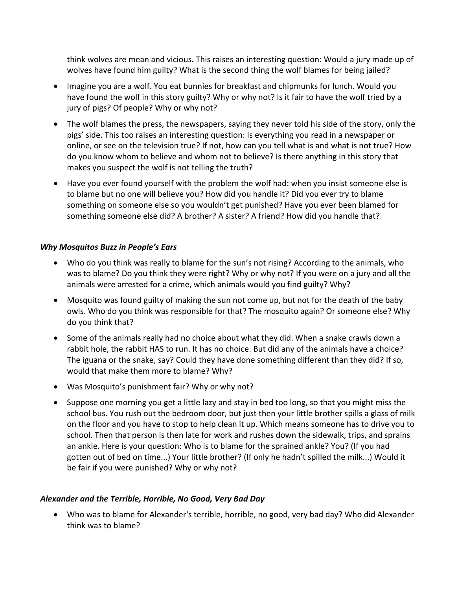think wolves are mean and vicious. This raises an interesting question: Would a jury made up of wolves have found him guilty? What is the second thing the wolf blames for being jailed?

- Imagine you are a wolf. You eat bunnies for breakfast and chipmunks for lunch. Would you have found the wolf in this story guilty? Why or why not? Is it fair to have the wolf tried by a jury of pigs? Of people? Why or why not?
- The wolf blames the press, the newspapers, saying they never told his side of the story, only the pigs' side. This too raises an interesting question: Is everything you read in a newspaper or online, or see on the television true? If not, how can you tell what is and what is not true? How do you know whom to believe and whom not to believe? Is there anything in this story that makes you suspect the wolf is not telling the truth?
- Have you ever found yourself with the problem the wolf had: when you insist someone else is to blame but no one will believe you? How did you handle it? Did you ever try to blame something on someone else so you wouldn't get punished? Have you ever been blamed for something someone else did? A brother? A sister? A friend? How did you handle that?

#### *Why Mosquitos Buzz in People's Ears*

- Who do you think was really to blame for the sun's not rising? According to the animals, who was to blame? Do you think they were right? Why or why not? If you were on a jury and all the animals were arrested for a crime, which animals would you find guilty? Why?
- Mosquito was found guilty of making the sun not come up, but not for the death of the baby owls. Who do you think was responsible for that? The mosquito again? Or someone else? Why do you think that?
- Some of the animals really had no choice about what they did. When a snake crawls down a rabbit hole, the rabbit HAS to run. It has no choice. But did any of the animals have a choice? The iguana or the snake, say? Could they have done something different than they did? If so, would that make them more to blame? Why?
- Was Mosquito's punishment fair? Why or why not?
- Suppose one morning you get a little lazy and stay in bed too long, so that you might miss the school bus. You rush out the bedroom door, but just then your little brother spills a glass of milk on the floor and you have to stop to help clean it up. Which means someone has to drive you to school. Then that person is then late for work and rushes down the sidewalk, trips, and sprains an ankle. Here is your question: Who is to blame for the sprained ankle? You? (If you had gotten out of bed on time...) Your little brother? (If only he hadn't spilled the milk...) Would it be fair if you were punished? Why or why not?

## *Alexander and the Terrible, Horrible, No Good, Very Bad Day*

• Who was to blame for Alexander's terrible, horrible, no good, very bad day? Who did Alexander think was to blame?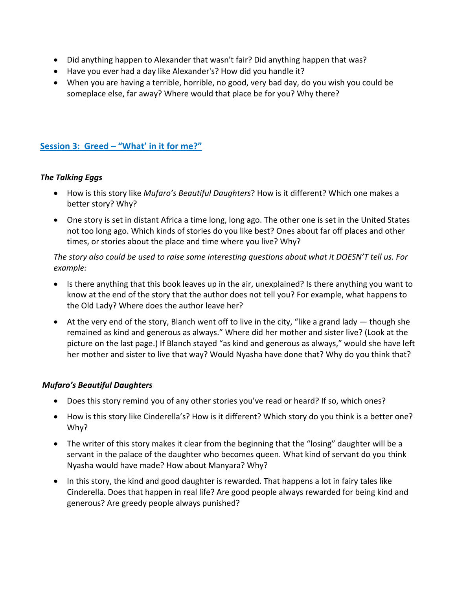- Did anything happen to Alexander that wasn't fair? Did anything happen that was?
- Have you ever had a day like Alexander's? How did you handle it?
- When you are having a terrible, horrible, no good, very bad day, do you wish you could be someplace else, far away? Where would that place be for you? Why there?

# **Session 3: Greed – "What' in it for me?"**

#### *The Talking Eggs*

- How is this story like *Mufaro's Beautiful Daughters*? How is it different? Which one makes a better story? Why?
- One story is set in distant Africa a time long, long ago. The other one is set in the United States not too long ago. Which kinds of stories do you like best? Ones about far off places and other times, or stories about the place and time where you live? Why?

## *The story also could be used to raise some interesting questions about what it DOESN'T tell us. For example:*

- Is there anything that this book leaves up in the air, unexplained? Is there anything you want to know at the end of the story that the author does not tell you? For example, what happens to the Old Lady? Where does the author leave her?
- At the very end of the story, Blanch went off to live in the city, "like a grand lady  $-$  though she remained as kind and generous as always." Where did her mother and sister live? (Look at the picture on the last page.) If Blanch stayed "as kind and generous as always," would she have left her mother and sister to live that way? Would Nyasha have done that? Why do you think that?

## *Mufaro's Beautiful Daughters*

- Does this story remind you of any other stories you've read or heard? If so, which ones?
- How is this story like Cinderella's? How is it different? Which story do you think is a better one? Why?
- The writer of this story makes it clear from the beginning that the "losing" daughter will be a servant in the palace of the daughter who becomes queen. What kind of servant do you think Nyasha would have made? How about Manyara? Why?
- In this story, the kind and good daughter is rewarded. That happens a lot in fairy tales like Cinderella. Does that happen in real life? Are good people always rewarded for being kind and generous? Are greedy people always punished?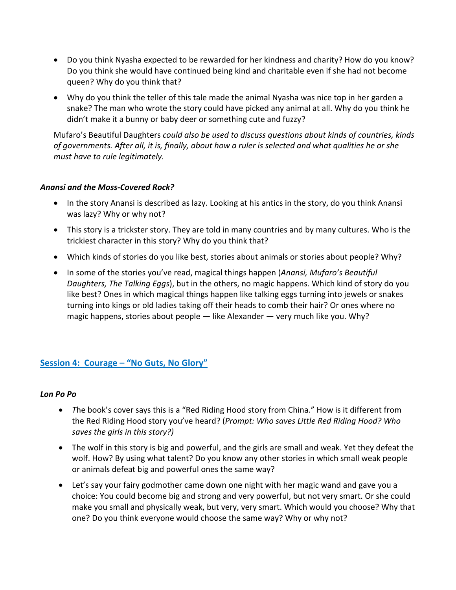- Do you think Nyasha expected to be rewarded for her kindness and charity? How do you know? Do you think she would have continued being kind and charitable even if she had not become queen? Why do you think that?
- Why do you think the teller of this tale made the animal Nyasha was nice top in her garden a snake? The man who wrote the story could have picked any animal at all. Why do you think he didn't make it a bunny or baby deer or something cute and fuzzy?

Mufaro's Beautiful Daughters *could also be used to discuss questions about kinds of countries, kinds of governments. After all, it is, finally, about how a ruler is selected and what qualities he or she must have to rule legitimately.*

## *Anansi and the Moss-Covered Rock?*

- In the story Anansi is described as lazy. Looking at his antics in the story, do you think Anansi was lazy? Why or why not?
- This story is a trickster story. They are told in many countries and by many cultures. Who is the trickiest character in this story? Why do you think that?
- Which kinds of stories do you like best, stories about animals or stories about people? Why?
- In some of the stories you've read, magical things happen (*Anansi, Mufaro's Beautiful Daughters, The Talking Eggs*), but in the others, no magic happens. Which kind of story do you like best? Ones in which magical things happen like talking eggs turning into jewels or snakes turning into kings or old ladies taking off their heads to comb their hair? Or ones where no magic happens, stories about people — like Alexander — very much like you. Why?

# **Session 4: Courage – "No Guts, No Glory"**

#### *Lon Po Po*

- *T*he book's cover says this is a "Red Riding Hood story from China." How is it different from the Red Riding Hood story you've heard? (*Prompt: Who saves Little Red Riding Hood? Who saves the girls in this story?)*
- The wolf in this story is big and powerful, and the girls are small and weak. Yet they defeat the wolf. How? By using what talent? Do you know any other stories in which small weak people or animals defeat big and powerful ones the same way?
- Let's say your fairy godmother came down one night with her magic wand and gave you a choice: You could become big and strong and very powerful, but not very smart. Or she could make you small and physically weak, but very, very smart. Which would you choose? Why that one? Do you think everyone would choose the same way? Why or why not?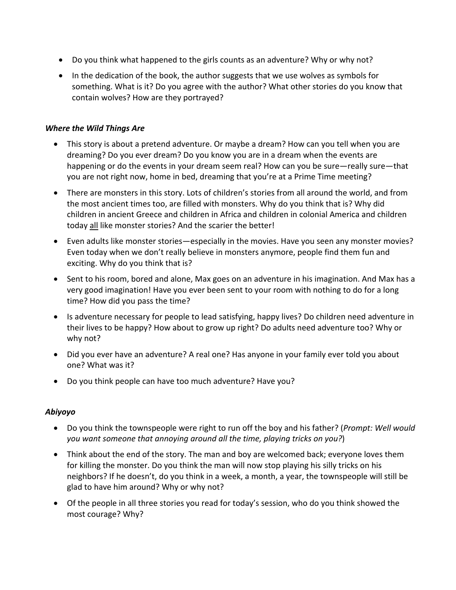- Do you think what happened to the girls counts as an adventure? Why or why not?
- In the dedication of the book, the author suggests that we use wolves as symbols for something. What is it? Do you agree with the author? What other stories do you know that contain wolves? How are they portrayed?

## *Where the Wild Things Are*

- This story is about a pretend adventure. Or maybe a dream? How can you tell when you are dreaming? Do you ever dream? Do you know you are in a dream when the events are happening or do the events in your dream seem real? How can you be sure—really sure—that you are not right now, home in bed, dreaming that you're at a Prime Time meeting?
- There are monsters in this story. Lots of children's stories from all around the world, and from the most ancient times too, are filled with monsters. Why do you think that is? Why did children in ancient Greece and children in Africa and children in colonial America and children today all like monster stories? And the scarier the better!
- Even adults like monster stories—especially in the movies. Have you seen any monster movies? Even today when we don't really believe in monsters anymore, people find them fun and exciting. Why do you think that is?
- Sent to his room, bored and alone, Max goes on an adventure in his imagination. And Max has a very good imagination! Have you ever been sent to your room with nothing to do for a long time? How did you pass the time?
- Is adventure necessary for people to lead satisfying, happy lives? Do children need adventure in their lives to be happy? How about to grow up right? Do adults need adventure too? Why or why not?
- Did you ever have an adventure? A real one? Has anyone in your family ever told you about one? What was it?
- Do you think people can have too much adventure? Have you?

## *Abiyoyo*

- Do you think the townspeople were right to run off the boy and his father? (*Prompt: Well would you want someone that annoying around all the time, playing tricks on you?*)
- Think about the end of the story. The man and boy are welcomed back; everyone loves them for killing the monster. Do you think the man will now stop playing his silly tricks on his neighbors? If he doesn't, do you think in a week, a month, a year, the townspeople will still be glad to have him around? Why or why not?
- Of the people in all three stories you read for today's session, who do you think showed the most courage? Why?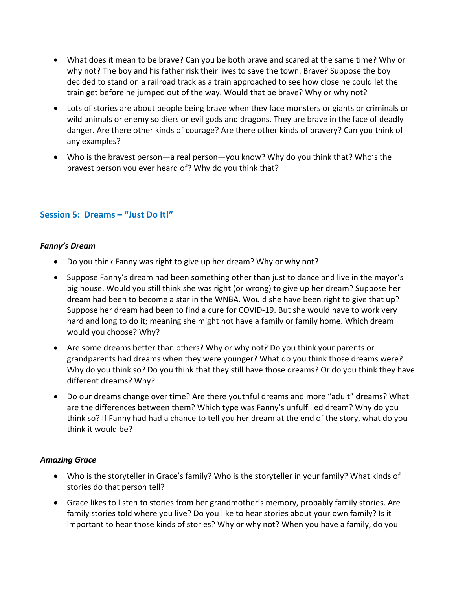- What does it mean to be brave? Can you be both brave and scared at the same time? Why or why not? The boy and his father risk their lives to save the town. Brave? Suppose the boy decided to stand on a railroad track as a train approached to see how close he could let the train get before he jumped out of the way. Would that be brave? Why or why not?
- Lots of stories are about people being brave when they face monsters or giants or criminals or wild animals or enemy soldiers or evil gods and dragons. They are brave in the face of deadly danger. Are there other kinds of courage? Are there other kinds of bravery? Can you think of any examples?
- Who is the bravest person—a real person—you know? Why do you think that? Who's the bravest person you ever heard of? Why do you think that?

# **Session 5: Dreams – "Just Do It!"**

#### *Fanny's Dream*

- Do you think Fanny was right to give up her dream? Why or why not?
- Suppose Fanny's dream had been something other than just to dance and live in the mayor's big house. Would you still think she was right (or wrong) to give up her dream? Suppose her dream had been to become a star in the WNBA. Would she have been right to give that up? Suppose her dream had been to find a cure for COVID-19. But she would have to work very hard and long to do it; meaning she might not have a family or family home. Which dream would you choose? Why?
- Are some dreams better than others? Why or why not? Do you think your parents or grandparents had dreams when they were younger? What do you think those dreams were? Why do you think so? Do you think that they still have those dreams? Or do you think they have different dreams? Why?
- Do our dreams change over time? Are there youthful dreams and more "adult" dreams? What are the differences between them? Which type was Fanny's unfulfilled dream? Why do you think so? If Fanny had had a chance to tell you her dream at the end of the story, what do you think it would be?

#### *Amazing Grace*

- Who is the storyteller in Grace's family? Who is the storyteller in your family? What kinds of stories do that person tell?
- Grace likes to listen to stories from her grandmother's memory, probably family stories. Are family stories told where you live? Do you like to hear stories about your own family? Is it important to hear those kinds of stories? Why or why not? When you have a family, do you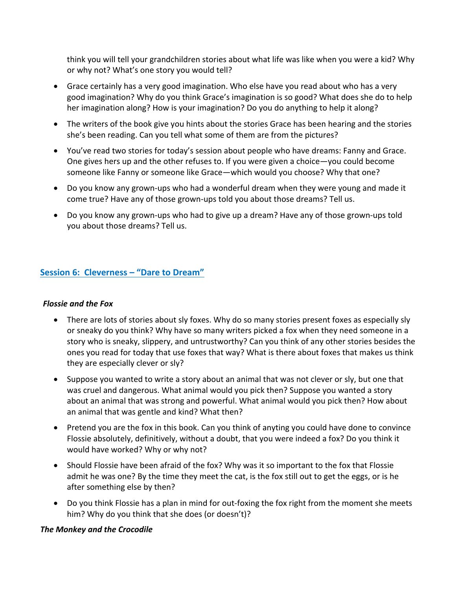think you will tell your grandchildren stories about what life was like when you were a kid? Why or why not? What's one story you would tell?

- Grace certainly has a very good imagination. Who else have you read about who has a very good imagination? Why do you think Grace's imagination is so good? What does she do to help her imagination along? How is your imagination? Do you do anything to help it along?
- The writers of the book give you hints about the stories Grace has been hearing and the stories she's been reading. Can you tell what some of them are from the pictures?
- You've read two stories for today's session about people who have dreams: Fanny and Grace. One gives hers up and the other refuses to. If you were given a choice—you could become someone like Fanny or someone like Grace—which would you choose? Why that one?
- Do you know any grown-ups who had a wonderful dream when they were young and made it come true? Have any of those grown-ups told you about those dreams? Tell us.
- Do you know any grown-ups who had to give up a dream? Have any of those grown-ups told you about those dreams? Tell us.

# **Session 6: Cleverness – "Dare to Dream"**

#### *Flossie and the Fox*

- There are lots of stories about sly foxes. Why do so many stories present foxes as especially sly or sneaky do you think? Why have so many writers picked a fox when they need someone in a story who is sneaky, slippery, and untrustworthy? Can you think of any other stories besides the ones you read for today that use foxes that way? What is there about foxes that makes us think they are especially clever or sly?
- Suppose you wanted to write a story about an animal that was not clever or sly, but one that was cruel and dangerous. What animal would you pick then? Suppose you wanted a story about an animal that was strong and powerful. What animal would you pick then? How about an animal that was gentle and kind? What then?
- Pretend you are the fox in this book. Can you think of anyting you could have done to convince Flossie absolutely, definitively, without a doubt, that you were indeed a fox? Do you think it would have worked? Why or why not?
- Should Flossie have been afraid of the fox? Why was it so important to the fox that Flossie admit he was one? By the time they meet the cat, is the fox still out to get the eggs, or is he after something else by then?
- Do you think Flossie has a plan in mind for out-foxing the fox right from the moment she meets him? Why do you think that she does (or doesn't)?

#### *The Monkey and the Crocodile*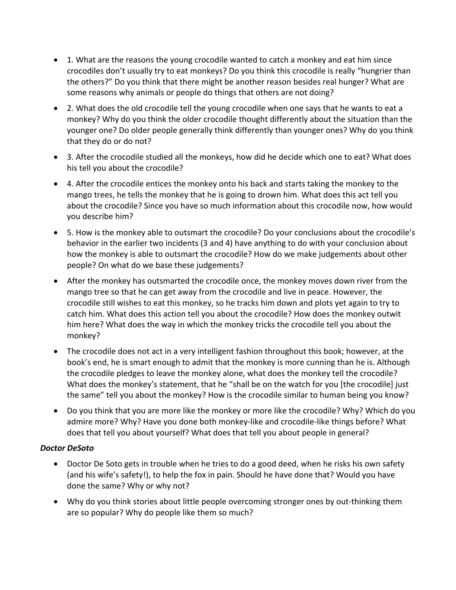- 1. What are the reasons the young crocodile wanted to catch a monkey and eat him since crocodiles don't usually try to eat monkeys? Do you think this crocodile is really "hungrier than the others?" Do you think that there might be another reason besides real hunger? What are some reasons why animals or people do things that others are not doing?
- 2. What does the old crocodile tell the young crocodile when one says that he wants to eat a monkey? Why do you think the older crocodile thought differently about the situation than the younger one? Do older people generally think differently than younger ones? Why do you think that they do or do not?
- 3. After the crocodile studied all the monkeys, how did he decide which one to eat? What does his tell you about the crocodile?
- 4. After the crocodile entices the monkey onto his back and starts taking the monkey to the mango trees, he tells the monkey that he is going to drown him. What does this act tell you about the crocodile? Since you have so much information about this crocodile now, how would you describe him?
- 5. How is the monkey able to outsmart the crocodile? Do your conclusions about the crocodile's behavior in the earlier two incidents (3 and 4) have anything to do with your conclusion about how the monkey is able to outsmart the crocodile? How do we make judgements about other people? On what do we base these judgements?
- After the monkey has outsmarted the crocodile once, the monkey moves down river from the mango tree so that he can get away from the crocodile and live in peace. However, the crocodile still wishes to eat this monkey, so he tracks him down and plots yet again to try to catch him. What does this action tell you about the crocodile? How does the monkey outwit him here? What does the way in which the monkey tricks the crocodile tell you about the monkey?
- The crocodile does not act in a very intelligent fashion throughout this book; however, at the book's end, he is smart enough to admit that the monkey is more cunning than he is. Although the crocodile pledges to leave the monkey alone, what does the monkey tell the crocodile? What does the monkey's statement, that he "shall be on the watch for you [the crocodile] just the same" tell you about the monkey? How is the crocodile similar to human being you know?
- Do you think that you are more like the monkey or more like the crocodile? Why? Which do you admire more? Why? Have you done both monkey-like and crocodile-like things before? What does that tell you about yourself? What does that tell you about people in general?

## *Doctor DeSoto*

- Doctor De Soto gets in trouble when he tries to do a good deed, when he risks his own safety (and his wife's safety!), to help the fox in pain. Should he have done that? Would you have done the same? Why or why not?
- Why do you think stories about little people overcoming stronger ones by out-thinking them are so popular? Why do people like them so much?